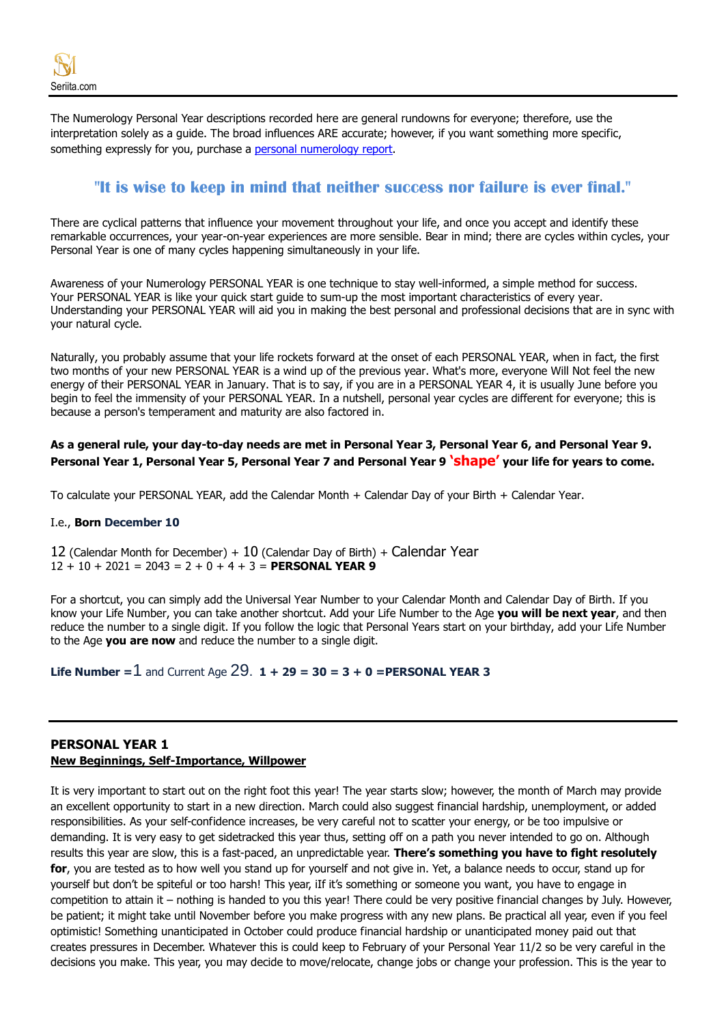The Numerology Personal Year descriptions recorded here are general rundowns for everyone; therefore, use the interpretation solely as a guide. The broad influences ARE accurate; however, if you want something more specific, something expressly for you, purchase a personal [numerology report.](https://www.seriita.com/where-am-i)

# **"It is wise to keep in mind that neither success nor failure is ever final."**

There are cyclical patterns that influence your movement throughout your life, and once you accept and identify these remarkable occurrences, your year-on-year experiences are more sensible. Bear in mind; there are cycles within cycles, your Personal Year is one of many cycles happening simultaneously in your life.

Awareness of your Numerology PERSONAL YEAR is one technique to stay well-informed, a simple method for success. Your PERSONAL YEAR is like your quick start guide to sum-up the most important characteristics of every year. Understanding your PERSONAL YEAR will aid you in making the best personal and professional decisions that are in sync with your natural cycle.

Naturally, you probably assume that your life rockets forward at the onset of each PERSONAL YEAR, when in fact, the first two months of your new PERSONAL YEAR is a wind up of the previous year. What's more, everyone Will Not feel the new energy of their PERSONAL YEAR in January. That is to say, if you are in a PERSONAL YEAR 4, it is usually June before you begin to feel the immensity of your PERSONAL YEAR. In a nutshell, personal year cycles are different for everyone; this is because a person's temperament and maturity are also factored in.

### **As a general rule, your day-to-day needs are met in Personal Year 3, Personal Year 6, and Personal Year 9. Personal Year 1, Personal Year 5, Personal Year 7 and Personal Year 9 'shape' your life for years to come.**

To calculate your PERSONAL YEAR, add the Calendar Month + Calendar Day of your Birth + Calendar Year.

#### I.e., **Born December 10**

12 (Calendar Month for December)  $+10$  (Calendar Day of Birth)  $+$  Calendar Year 12 + 10 + 2021 = 2043 = 2 + 0 + 4 + 3 = **PERSONAL YEAR 9**

For a shortcut, you can simply add the Universal Year Number to your Calendar Month and Calendar Day of Birth. If you know your Life Number, you can take another shortcut. Add your Life Number to the Age **you will be next year**, and then reduce the number to a single digit. If you follow the logic that Personal Years start on your birthday, add your Life Number to the Age **you are now** and reduce the number to a single digit.

**Life Number = 1** and Current Age  $29.1 + 29 = 30 = 3 + 0 =$  **PERSONAL YEAR 3** 

#### **PERSONAL YEAR 1 New Beginnings, Self-Importance, Willpower**

It is very important to start out on the right foot this year! The year starts slow; however, the month of March may provide an excellent opportunity to start in a new direction. March could also suggest financial hardship, unemployment, or added responsibilities. As your self-confidence increases, be very careful not to scatter your energy, or be too impulsive or demanding. It is very easy to get sidetracked this year thus, setting off on a path you never intended to go on. Although results this year are slow, this is a fast-paced, an unpredictable year. **There's something you have to fight resolutely for**, you are tested as to how well you stand up for yourself and not give in. Yet, a balance needs to occur, stand up for yourself but don't be spiteful or too harsh! This year, iIf it's something or someone you want, you have to engage in competition to attain it – nothing is handed to you this year! There could be very positive financial changes by July. However, be patient; it might take until November before you make progress with any new plans. Be practical all year, even if you feel optimistic! Something unanticipated in October could produce financial hardship or unanticipated money paid out that creates pressures in December. Whatever this is could keep to February of your Personal Year 11/2 so be very careful in the decisions you make. This year, you may decide to move/relocate, change jobs or change your profession. This is the year to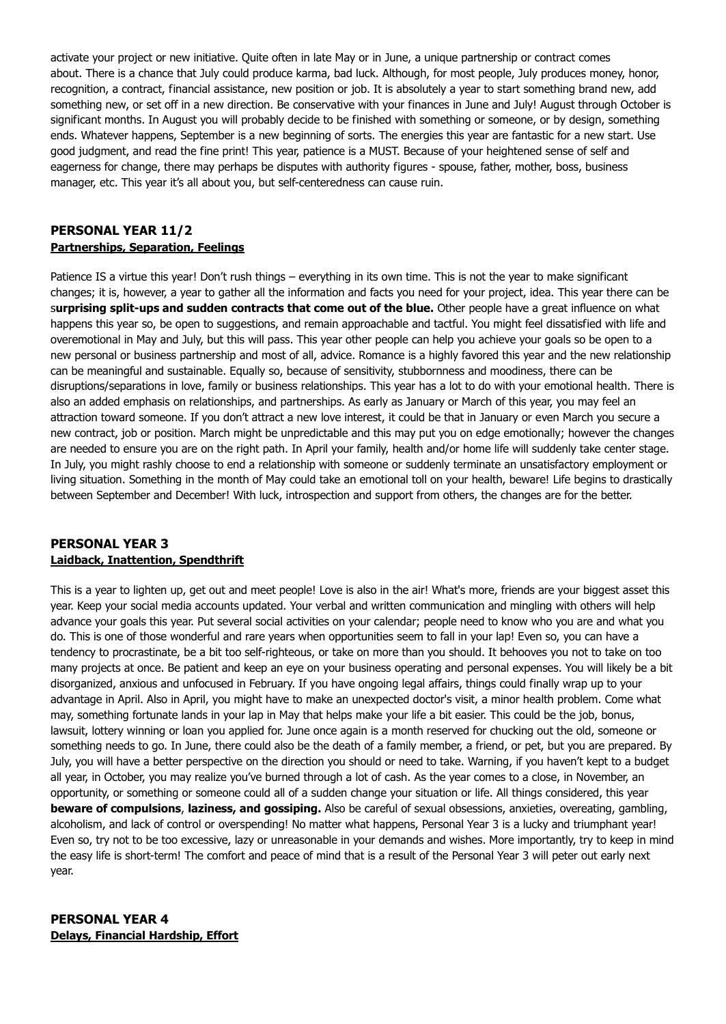activate your project or new initiative. Quite often in late May or in June, a unique partnership or contract comes about. There is a chance that July could produce karma, bad luck. Although, for most people, July produces money, honor, recognition, a contract, financial assistance, new position or job. It is absolutely a year to start something brand new, add something new, or set off in a new direction. Be conservative with your finances in June and July! August through October is significant months. In August you will probably decide to be finished with something or someone, or by design, something ends. Whatever happens, September is a new beginning of sorts. The energies this year are fantastic for a new start. Use good judgment, and read the fine print! This year, patience is a MUST. Because of your heightened sense of self and eagerness for change, there may perhaps be disputes with authority figures - spouse, father, mother, boss, business manager, etc. This year it's all about you, but self-centeredness can cause ruin.

#### **PERSONAL YEAR 11/2 Partnerships, Separation, Feelings**

Patience IS a virtue this year! Don't rush things – everything in its own time. This is not the year to make significant changes; it is, however, a year to gather all the information and facts you need for your project, idea. This year there can be s**urprising split-ups and sudden contracts that come out of the blue.** Other people have a great influence on what happens this year so, be open to suggestions, and remain approachable and tactful. You might feel dissatisfied with life and overemotional in May and July, but this will pass. This year other people can help you achieve your goals so be open to a new personal or business partnership and most of all, advice. Romance is a highly favored this year and the new relationship can be meaningful and sustainable. Equally so, because of sensitivity, stubbornness and moodiness, there can be disruptions/separations in love, family or business relationships. This year has a lot to do with your emotional health. There is also an added emphasis on relationships, and partnerships. As early as January or March of this year, you may feel an attraction toward someone. If you don't attract a new love interest, it could be that in January or even March you secure a new contract, job or position. March might be unpredictable and this may put you on edge emotionally; however the changes are needed to ensure you are on the right path. In April your family, health and/or home life will suddenly take center stage. In July, you might rashly choose to end a relationship with someone or suddenly terminate an unsatisfactory employment or living situation. Something in the month of May could take an emotional toll on your health, beware! Life begins to drastically between September and December! With luck, introspection and support from others, the changes are for the better.

### **PERSONAL YEAR 3 Laidback, Inattention, Spendthrift**

This is a year to lighten up, get out and meet people! Love is also in the air! What's more, friends are your biggest asset this year. Keep your social media accounts updated. Your verbal and written communication and mingling with others will help advance your goals this year. Put several social activities on your calendar; people need to know who you are and what you do. This is one of those wonderful and rare years when opportunities seem to fall in your lap! Even so, you can have a tendency to procrastinate, be a bit too self-righteous, or take on more than you should. It behooves you not to take on too many projects at once. Be patient and keep an eye on your business operating and personal expenses. You will likely be a bit disorganized, anxious and unfocused in February. If you have ongoing legal affairs, things could finally wrap up to your advantage in April. Also in April, you might have to make an unexpected doctor's visit, a minor health problem. Come what may, something fortunate lands in your lap in May that helps make your life a bit easier. This could be the job, bonus, lawsuit, lottery winning or loan you applied for. June once again is a month reserved for chucking out the old, someone or something needs to go. In June, there could also be the death of a family member, a friend, or pet, but you are prepared. By July, you will have a better perspective on the direction you should or need to take. Warning, if you haven't kept to a budget all year, in October, you may realize you've burned through a lot of cash. As the year comes to a close, in November, an opportunity, or something or someone could all of a sudden change your situation or life. All things considered, this year **beware of compulsions**, **laziness, and gossiping.** Also be careful of sexual obsessions, anxieties, overeating, gambling, alcoholism, and lack of control or overspending! No matter what happens, Personal Year 3 is a lucky and triumphant year! Even so, try not to be too excessive, lazy or unreasonable in your demands and wishes. More importantly, try to keep in mind the easy life is short-term! The comfort and peace of mind that is a result of the Personal Year 3 will peter out early next year.

### **PERSONAL YEAR 4 Delays, Financial Hardship, Effort**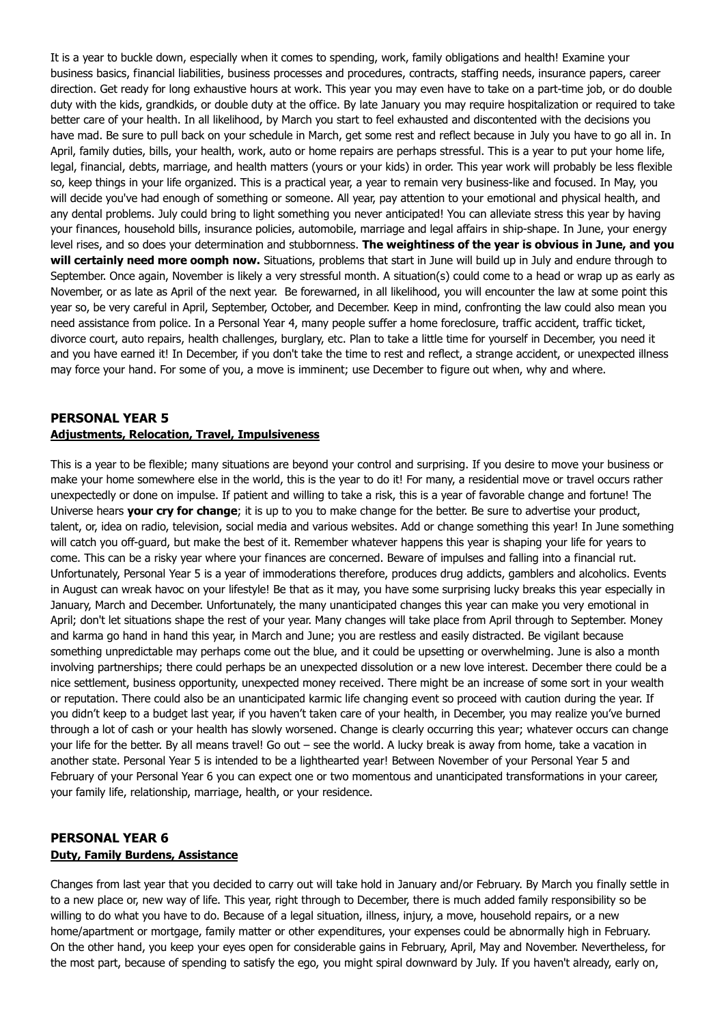It is a year to buckle down, especially when it comes to spending, work, family obligations and health! Examine your business basics, financial liabilities, business processes and procedures, contracts, staffing needs, insurance papers, career direction. Get ready for long exhaustive hours at work. This year you may even have to take on a part-time job, or do double duty with the kids, grandkids, or double duty at the office. By late January you may require hospitalization or required to take better care of your health. In all likelihood, by March you start to feel exhausted and discontented with the decisions you have mad. Be sure to pull back on your schedule in March, get some rest and reflect because in July you have to go all in. In April, family duties, bills, your health, work, auto or home repairs are perhaps stressful. This is a year to put your home life, legal, financial, debts, marriage, and health matters (yours or your kids) in order. This year work will probably be less flexible so, keep things in your life organized. This is a practical year, a year to remain very business-like and focused. In May, you will decide you've had enough of something or someone. All year, pay attention to your emotional and physical health, and any dental problems. July could bring to light something you never anticipated! You can alleviate stress this year by having your finances, household bills, insurance policies, automobile, marriage and legal affairs in ship-shape. In June, your energy level rises, and so does your determination and stubbornness. **The weightiness of the year is obvious in June, and you will certainly need more oomph now.** Situations, problems that start in June will build up in July and endure through to September. Once again, November is likely a very stressful month. A situation(s) could come to a head or wrap up as early as November, or as late as April of the next year. Be forewarned, in all likelihood, you will encounter the law at some point this year so, be very careful in April, September, October, and December. Keep in mind, confronting the law could also mean you need assistance from police. In a Personal Year 4, many people suffer a home foreclosure, traffic accident, traffic ticket, divorce court, auto repairs, health challenges, burglary, etc. Plan to take a little time for yourself in December, you need it and you have earned it! In December, if you don't take the time to rest and reflect, a strange accident, or unexpected illness may force your hand. For some of you, a move is imminent; use December to figure out when, why and where.

#### **PERSONAL YEAR 5 Adjustments, Relocation, Travel, Impulsiveness**

This is a year to be flexible; many situations are beyond your control and surprising. If you desire to move your business or make your home somewhere else in the world, this is the year to do it! For many, a residential move or travel occurs rather unexpectedly or done on impulse. If patient and willing to take a risk, this is a year of favorable change and fortune! The Universe hears **your cry for change**; it is up to you to make change for the better. Be sure to advertise your product, talent, or, idea on radio, television, social media and various websites. Add or change something this year! In June something will catch you off-guard, but make the best of it. Remember whatever happens this year is shaping your life for years to come. This can be a risky year where your finances are concerned. Beware of impulses and falling into a financial rut. Unfortunately, Personal Year 5 is a year of immoderations therefore, produces drug addicts, gamblers and alcoholics. Events in August can wreak havoc on your lifestyle! Be that as it may, you have some surprising lucky breaks this year especially in January, March and December. Unfortunately, the many unanticipated changes this year can make you very emotional in April; don't let situations shape the rest of your year. Many changes will take place from April through to September. Money and karma go hand in hand this year, in March and June; you are restless and easily distracted. Be vigilant because something unpredictable may perhaps come out the blue, and it could be upsetting or overwhelming. June is also a month involving partnerships; there could perhaps be an unexpected dissolution or a new love interest. December there could be a nice settlement, business opportunity, unexpected money received. There might be an increase of some sort in your wealth or reputation. There could also be an unanticipated karmic life changing event so proceed with caution during the year. If you didn't keep to a budget last year, if you haven't taken care of your health, in December, you may realize you've burned through a lot of cash or your health has slowly worsened. Change is clearly occurring this year; whatever occurs can change your life for the better. By all means travel! Go out – see the world. A lucky break is away from home, take a vacation in another state. Personal Year 5 is intended to be a lighthearted year! Between November of your Personal Year 5 and February of your Personal Year 6 you can expect one or two momentous and unanticipated transformations in your career, your family life, relationship, marriage, health, or your residence.

# **PERSONAL YEAR 6 Duty, Family Burdens, Assistance**

Changes from last year that you decided to carry out will take hold in January and/or February. By March you finally settle in to a new place or, new way of life. This year, right through to December, there is much added family responsibility so be willing to do what you have to do. Because of a legal situation, illness, injury, a move, household repairs, or a new home/apartment or mortgage, family matter or other expenditures, your expenses could be abnormally high in February. On the other hand, you keep your eyes open for considerable gains in February, April, May and November. Nevertheless, for the most part, because of spending to satisfy the ego, you might spiral downward by July. If you haven't already, early on,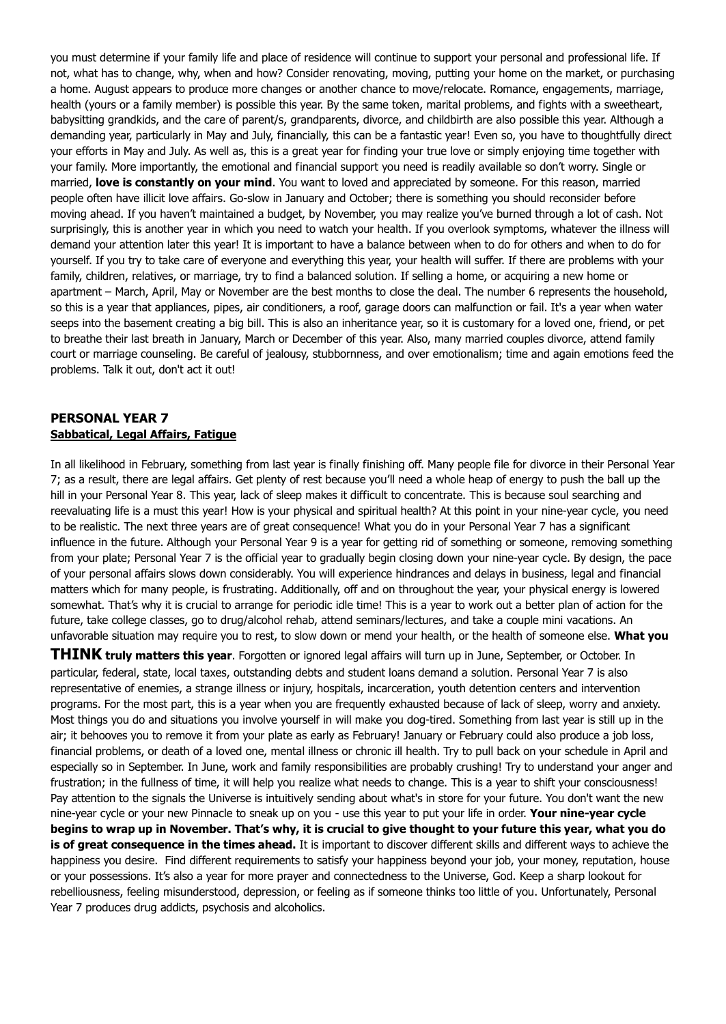you must determine if your family life and place of residence will continue to support your personal and professional life. If not, what has to change, why, when and how? Consider renovating, moving, putting your home on the market, or purchasing a home. August appears to produce more changes or another chance to move/relocate. Romance, engagements, marriage, health (yours or a family member) is possible this year. By the same token, marital problems, and fights with a sweetheart, babysitting grandkids, and the care of parent/s, grandparents, divorce, and childbirth are also possible this year. Although a demanding year, particularly in May and July, financially, this can be a fantastic year! Even so, you have to thoughtfully direct your efforts in May and July. As well as, this is a great year for finding your true love or simply enjoying time together with your family. More importantly, the emotional and financial support you need is readily available so don't worry. Single or married, **love is constantly on your mind**. You want to loved and appreciated by someone. For this reason, married people often have illicit love affairs. Go-slow in January and October; there is something you should reconsider before moving ahead. If you haven't maintained a budget, by November, you may realize you've burned through a lot of cash. Not surprisingly, this is another year in which you need to watch your health. If you overlook symptoms, whatever the illness will demand your attention later this year! It is important to have a balance between when to do for others and when to do for yourself. If you try to take care of everyone and everything this year, your health will suffer. If there are problems with your family, children, relatives, or marriage, try to find a balanced solution. If selling a home, or acquiring a new home or apartment – March, April, May or November are the best months to close the deal. The number 6 represents the household, so this is a year that appliances, pipes, air conditioners, a roof, garage doors can malfunction or fail. It's a year when water seeps into the basement creating a big bill. This is also an inheritance year, so it is customary for a loved one, friend, or pet to breathe their last breath in January, March or December of this year. Also, many married couples divorce, attend family court or marriage counseling. Be careful of jealousy, stubbornness, and over emotionalism; time and again emotions feed the problems. Talk it out, don't act it out!

## **PERSONAL YEAR 7 Sabbatical, Legal Affairs, Fatigue**

In all likelihood in February, something from last year is finally finishing off. Many people file for divorce in their Personal Year 7; as a result, there are legal affairs. Get plenty of rest because you'll need a whole heap of energy to push the ball up the hill in your Personal Year 8. This year, lack of sleep makes it difficult to concentrate. This is because soul searching and reevaluating life is a must this year! How is your physical and spiritual health? At this point in your nine-year cycle, you need to be realistic. The next three years are of great consequence! What you do in your Personal Year 7 has a significant influence in the future. Although your Personal Year 9 is a year for getting rid of something or someone, removing something from your plate; Personal Year 7 is the official year to gradually begin closing down your nine-year cycle. By design, the pace of your personal affairs slows down considerably. You will experience hindrances and delays in business, legal and financial matters which for many people, is frustrating. Additionally, off and on throughout the year, your physical energy is lowered somewhat. That's why it is crucial to arrange for periodic idle time! This is a year to work out a better plan of action for the future, take college classes, go to drug/alcohol rehab, attend seminars/lectures, and take a couple mini vacations. An unfavorable situation may require you to rest, to slow down or mend your health, or the health of someone else. **What you** 

**THINK truly matters this year**. Forgotten or ignored legal affairs will turn up in June, September, or October. In particular, federal, state, local taxes, outstanding debts and student loans demand a solution. Personal Year 7 is also representative of enemies, a strange illness or injury, hospitals, incarceration, youth detention centers and intervention programs. For the most part, this is a year when you are frequently exhausted because of lack of sleep, worry and anxiety. Most things you do and situations you involve yourself in will make you dog-tired. Something from last year is still up in the air; it behooves you to remove it from your plate as early as February! January or February could also produce a job loss, financial problems, or death of a loved one, mental illness or chronic ill health. Try to pull back on your schedule in April and especially so in September. In June, work and family responsibilities are probably crushing! Try to understand your anger and frustration; in the fullness of time, it will help you realize what needs to change. This is a year to shift your consciousness! Pay attention to the signals the Universe is intuitively sending about what's in store for your future. You don't want the new nine-year cycle or your new Pinnacle to sneak up on you - use this year to put your life in order. **Your nine-year cycle begins to wrap up in November. That's why, it is crucial to give thought to your future this year, what you do is of great consequence in the times ahead.** It is important to discover different skills and different ways to achieve the happiness you desire. Find different requirements to satisfy your happiness beyond your job, your money, reputation, house or your possessions. It's also a year for more prayer and connectedness to the Universe, God. Keep a sharp lookout for rebelliousness, feeling misunderstood, depression, or feeling as if someone thinks too little of you. Unfortunately, Personal Year 7 produces drug addicts, psychosis and alcoholics.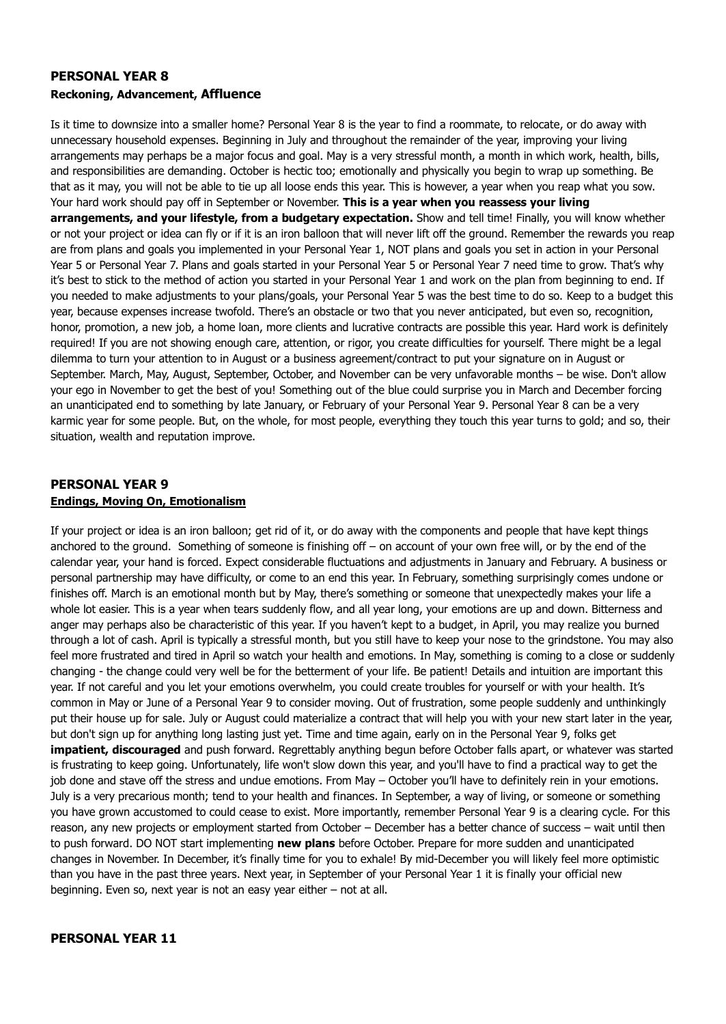#### **PERSONAL YEAR 8 Reckoning, Advancement, Affluence**

Is it time to downsize into a smaller home? Personal Year 8 is the year to find a roommate, to relocate, or do away with unnecessary household expenses. Beginning in July and throughout the remainder of the year, improving your living arrangements may perhaps be a major focus and goal. May is a very stressful month, a month in which work, health, bills, and responsibilities are demanding. October is hectic too; emotionally and physically you begin to wrap up something. Be that as it may, you will not be able to tie up all loose ends this year. This is however, a year when you reap what you sow. Your hard work should pay off in September or November. **This is a year when you reassess your living arrangements, and your lifestyle, from a budgetary expectation.** Show and tell time! Finally, you will know whether or not your project or idea can fly or if it is an iron balloon that will never lift off the ground. Remember the rewards you reap are from plans and goals you implemented in your Personal Year 1, NOT plans and goals you set in action in your Personal Year 5 or Personal Year 7. Plans and goals started in your Personal Year 5 or Personal Year 7 need time to grow. That's why it's best to stick to the method of action you started in your Personal Year 1 and work on the plan from beginning to end. If you needed to make adjustments to your plans/goals, your Personal Year 5 was the best time to do so. Keep to a budget this year, because expenses increase twofold. There's an obstacle or two that you never anticipated, but even so, recognition, honor, promotion, a new job, a home loan, more clients and lucrative contracts are possible this year. Hard work is definitely required! If you are not showing enough care, attention, or rigor, you create difficulties for yourself. There might be a legal dilemma to turn your attention to in August or a business agreement/contract to put your signature on in August or September. March, May, August, September, October, and November can be very unfavorable months – be wise. Don't allow your ego in November to get the best of you! Something out of the blue could surprise you in March and December forcing an unanticipated end to something by late January, or February of your Personal Year 9. Personal Year 8 can be a very karmic year for some people. But, on the whole, for most people, everything they touch this year turns to gold; and so, their situation, wealth and reputation improve.

#### **PERSONAL YEAR 9 Endings, Moving On, Emotionalism**

If your project or idea is an iron balloon; get rid of it, or do away with the components and people that have kept things anchored to the ground. Something of someone is finishing off – on account of your own free will, or by the end of the calendar year, your hand is forced. Expect considerable fluctuations and adjustments in January and February. A business or personal partnership may have difficulty, or come to an end this year. In February, something surprisingly comes undone or finishes off. March is an emotional month but by May, there's something or someone that unexpectedly makes your life a whole lot easier. This is a year when tears suddenly flow, and all year long, your emotions are up and down. Bitterness and anger may perhaps also be characteristic of this year. If you haven't kept to a budget, in April, you may realize you burned through a lot of cash. April is typically a stressful month, but you still have to keep your nose to the grindstone. You may also feel more frustrated and tired in April so watch your health and emotions. In May, something is coming to a close or suddenly changing - the change could very well be for the betterment of your life. Be patient! Details and intuition are important this year. If not careful and you let your emotions overwhelm, you could create troubles for yourself or with your health. It's common in May or June of a Personal Year 9 to consider moving. Out of frustration, some people suddenly and unthinkingly put their house up for sale. July or August could materialize a contract that will help you with your new start later in the year, but don't sign up for anything long lasting just yet. Time and time again, early on in the Personal Year 9, folks get **impatient, discouraged** and push forward. Regrettably anything begun before October falls apart, or whatever was started is frustrating to keep going. Unfortunately, life won't slow down this year, and you'll have to find a practical way to get the job done and stave off the stress and undue emotions. From May – October you'll have to definitely rein in your emotions. July is a very precarious month; tend to your health and finances. In September, a way of living, or someone or something you have grown accustomed to could cease to exist. More importantly, remember Personal Year 9 is a clearing cycle. For this reason, any new projects or employment started from October – December has a better chance of success – wait until then to push forward. DO NOT start implementing **new plans** before October. Prepare for more sudden and unanticipated changes in November. In December, it's finally time for you to exhale! By mid-December you will likely feel more optimistic than you have in the past three years. Next year, in September of your Personal Year 1 it is finally your official new beginning. Even so, next year is not an easy year either – not at all.

# **PERSONAL YEAR 11**